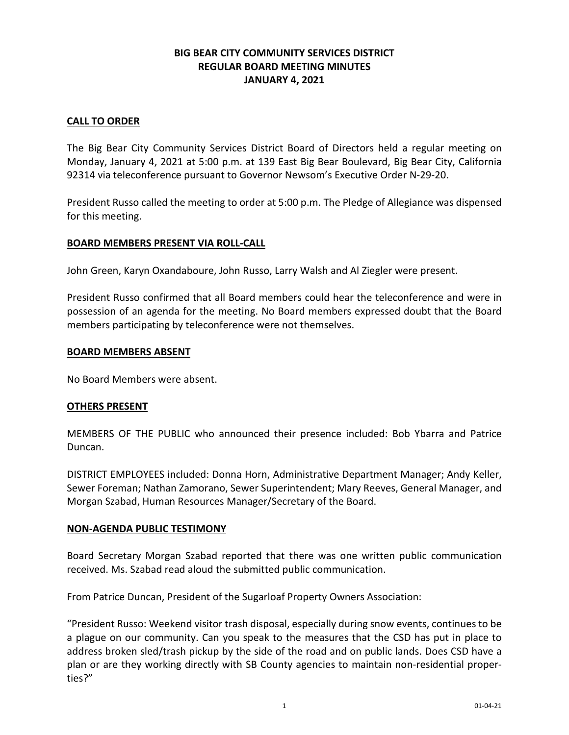# **BIG BEAR CITY COMMUNITY SERVICES DISTRICT REGULAR BOARD MEETING MINUTES JANUARY 4, 2021**

## **CALL TO ORDER**

The Big Bear City Community Services District Board of Directors held a regular meeting on Monday, January 4, 2021 at 5:00 p.m. at 139 East Big Bear Boulevard, Big Bear City, California 92314 via teleconference pursuant to Governor Newsom's Executive Order N-29-20.

President Russo called the meeting to order at 5:00 p.m. The Pledge of Allegiance was dispensed for this meeting.

### **BOARD MEMBERS PRESENT VIA ROLL-CALL**

John Green, Karyn Oxandaboure, John Russo, Larry Walsh and Al Ziegler were present.

President Russo confirmed that all Board members could hear the teleconference and were in possession of an agenda for the meeting. No Board members expressed doubt that the Board members participating by teleconference were not themselves.

### **BOARD MEMBERS ABSENT**

No Board Members were absent.

### **OTHERS PRESENT**

MEMBERS OF THE PUBLIC who announced their presence included: Bob Ybarra and Patrice Duncan.

DISTRICT EMPLOYEES included: Donna Horn, Administrative Department Manager; Andy Keller, Sewer Foreman; Nathan Zamorano, Sewer Superintendent; Mary Reeves, General Manager, and Morgan Szabad, Human Resources Manager/Secretary of the Board.

### **NON-AGENDA PUBLIC TESTIMONY**

Board Secretary Morgan Szabad reported that there was one written public communication received. Ms. Szabad read aloud the submitted public communication.

From Patrice Duncan, President of the Sugarloaf Property Owners Association:

"President Russo: Weekend visitor trash disposal, especially during snow events, continues to be a plague on our community. Can you speak to the measures that the CSD has put in place to address broken sled/trash pickup by the side of the road and on public lands. Does CSD have a plan or are they working directly with SB County agencies to maintain non-residential properties?"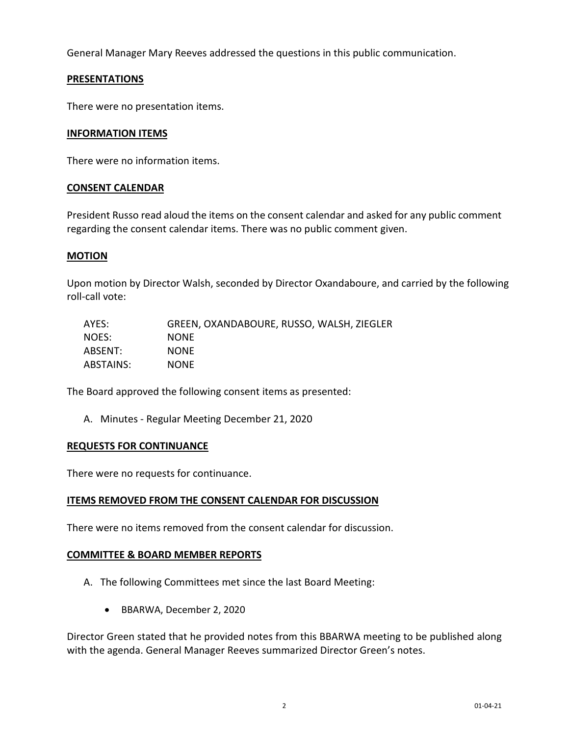General Manager Mary Reeves addressed the questions in this public communication.

## **PRESENTATIONS**

There were no presentation items.

### **INFORMATION ITEMS**

There were no information items.

### **CONSENT CALENDAR**

President Russo read aloud the items on the consent calendar and asked for any public comment regarding the consent calendar items. There was no public comment given.

### **MOTION**

Upon motion by Director Walsh, seconded by Director Oxandaboure, and carried by the following roll-call vote:

| AYES:     | GREEN, OXANDABOURE, RUSSO, WALSH, ZIEGLER |
|-----------|-------------------------------------------|
| NOES:     | <b>NONE</b>                               |
| ABSENT:   | <b>NONE</b>                               |
| ABSTAINS: | <b>NONE</b>                               |

The Board approved the following consent items as presented:

A. Minutes - Regular Meeting December 21, 2020

### **REQUESTS FOR CONTINUANCE**

There were no requests for continuance.

## **ITEMS REMOVED FROM THE CONSENT CALENDAR FOR DISCUSSION**

There were no items removed from the consent calendar for discussion.

## **COMMITTEE & BOARD MEMBER REPORTS**

- A. The following Committees met since the last Board Meeting:
	- BBARWA, December 2, 2020

Director Green stated that he provided notes from this BBARWA meeting to be published along with the agenda. General Manager Reeves summarized Director Green's notes.